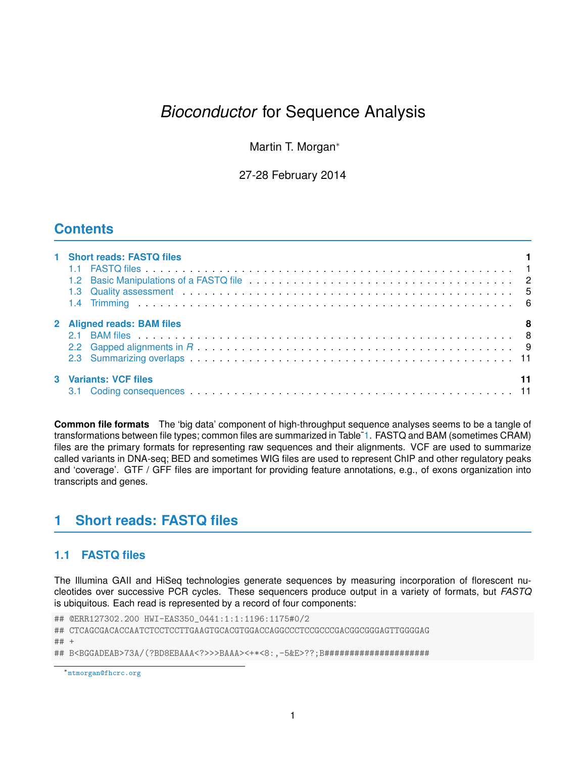# *Bioconductor* for Sequence Analysis

Martin T. Morgan<sup>∗</sup>

27-28 February 2014

## **Contents**

| 1 Short reads: FASTQ files |  |
|----------------------------|--|
| 2 Aligned reads: BAM files |  |
|                            |  |
|                            |  |
|                            |  |
| 3 Variants: VCF files      |  |
|                            |  |

**Common file formats** The 'big data' component of high-throughput sequence analyses seems to be a tangle of transformations between file types; common files are summarized in Table[˜1.](#page-1-1) FASTQ and BAM (sometimes CRAM) files are the primary formats for representing raw sequences and their alignments. VCF are used to summarize called variants in DNA-seq; BED and sometimes WIG files are used to represent ChIP and other regulatory peaks and 'coverage'. GTF / GFF files are important for providing feature annotations, e.g., of exons organization into transcripts and genes.

## <span id="page-0-0"></span>**1 Short reads: FASTQ files**

## <span id="page-0-1"></span>**1.1 FASTQ files**

The Illumina GAII and HiSeq technologies generate sequences by measuring incorporation of florescent nucleotides over successive PCR cycles. These sequencers produce output in a variety of formats, but *FASTQ* is ubiquitous. Each read is represented by a record of four components:

## @ERR127302.200 HWI-EAS350\_0441:1:1:1196:1175#0/2 ## CTCAGCGACACCAATCTCCTCCTTGAAGTGCACGTGGACCAGGCCCTCCGCCCGACGGCGGGAGTTGGGGAG

## +

## B<BGGADEAB>73A/(?BD8EBAAA<?>>>BAAA><+\*<8:,-5&E>??;B#####################

<sup>∗</sup><mtmorgan@fhcrc.org>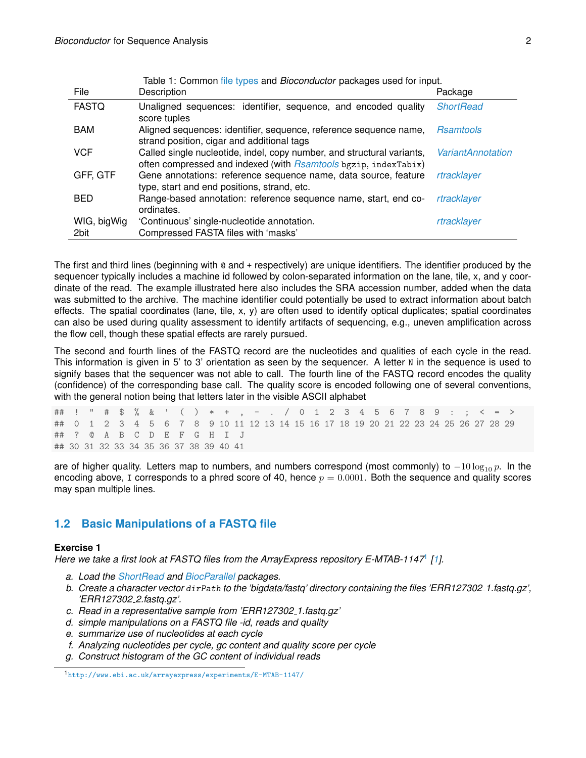<span id="page-1-1"></span>

| File                | Table 1: Common file types and <i>Bioconductor</i> packages used for input.<br>Description                                                       | Package                  |
|---------------------|--------------------------------------------------------------------------------------------------------------------------------------------------|--------------------------|
| <b>FASTQ</b>        | Unaligned sequences: identifier, sequence, and encoded quality<br>score tuples                                                                   | <b>ShortRead</b>         |
| <b>BAM</b>          | Aligned sequences: identifier, sequence, reference sequence name,<br>strand position, cigar and additional tags                                  | <b>Rsamtools</b>         |
| <b>VCF</b>          | Called single nucleotide, indel, copy number, and structural variants,<br>often compressed and indexed (with <i>Rsamtools</i> bgzip, indexTabix) | <b>VariantAnnotation</b> |
| GFF, GTF            | Gene annotations: reference sequence name, data source, feature<br>type, start and end positions, strand, etc.                                   | rtracklayer              |
| <b>BED</b>          | Range-based annotation: reference sequence name, start, end co-<br>ordinates.                                                                    | rtracklayer              |
| WIG, bigWig<br>2bit | 'Continuous' single-nucleotide annotation.<br>Compressed FASTA files with 'masks'                                                                | rtracklayer              |

The first and third lines (beginning with @ and + respectively) are unique identifiers. The identifier produced by the sequencer typically includes a machine id followed by colon-separated information on the lane, tile, x, and y coordinate of the read. The example illustrated here also includes the SRA accession number, added when the data was submitted to the archive. The machine identifier could potentially be used to extract information about batch effects. The spatial coordinates (lane, tile, x, y) are often used to identify optical duplicates; spatial coordinates can also be used during quality assessment to identify artifacts of sequencing, e.g., uneven amplification across the flow cell, though these spatial effects are rarely pursued.

The second and fourth lines of the FASTQ record are the nucleotides and qualities of each cycle in the read. This information is given in 5' to 3' orientation as seen by the sequencer. A letter N in the sequence is used to signify bases that the sequencer was not able to call. The fourth line of the FASTQ record encodes the quality (confidence) of the corresponding base call. The quality score is encoded following one of several conventions, with the general notion being that letters later in the visible ASCII alphabet

## ! " # \$ % & ' ( ) \* + , - . / 0 1 2 3 4 5 6 7 8 9 : ; < = > ## 0 1 2 3 4 5 6 7 8 9 10 11 12 13 14 15 16 17 18 19 20 21 22 23 24 25 26 27 28 29 ## ? @ A B C D E F G H I J ## 30 31 32 33 34 35 36 37 38 39 40 41

are of higher quality. Letters map to numbers, and numbers correspond (most commonly) to  $-10 \log_{10} p$ . In the encoding above, I corresponds to a phred score of 40, hence  $p = 0.0001$ . Both the sequence and quality scores may span multiple lines.

## <span id="page-1-0"></span>**1.2 Basic Manipulations of a FASTQ file**

### **Exercise 1**

*Here we take a first look at FASTQ files from the ArrayExpress repository E-MTAB-1147*[1](#page-1-2) *[\[1\]](#page-13-0).*

- *a. Load the [ShortRead](http://bioconductor.org/packages/release/bioc/html/ShortRead.html) and [BiocParallel](http://bioconductor.org/packages/release/bioc/html/BiocParallel.html) packages.*
- *b. Create a character vector* dirPath *to the 'bigdata/fastq' directory containing the files 'ERR127302 1.fastq.gz', 'ERR127302 2.fastq.gz'.*
- *c. Read in a representative sample from 'ERR127302 1.fastq.gz'*
- *d. simple manipulations on a FASTQ file -id, reads and quality*
- *e. summarize use of nucleotides at each cycle*
- *f. Analyzing nucleotides per cycle, gc content and quality score per cycle*
- *g. Construct histogram of the GC content of individual reads*

<span id="page-1-2"></span><sup>1</sup><http://www.ebi.ac.uk/arrayexpress/experiments/E-MTAB-1147/>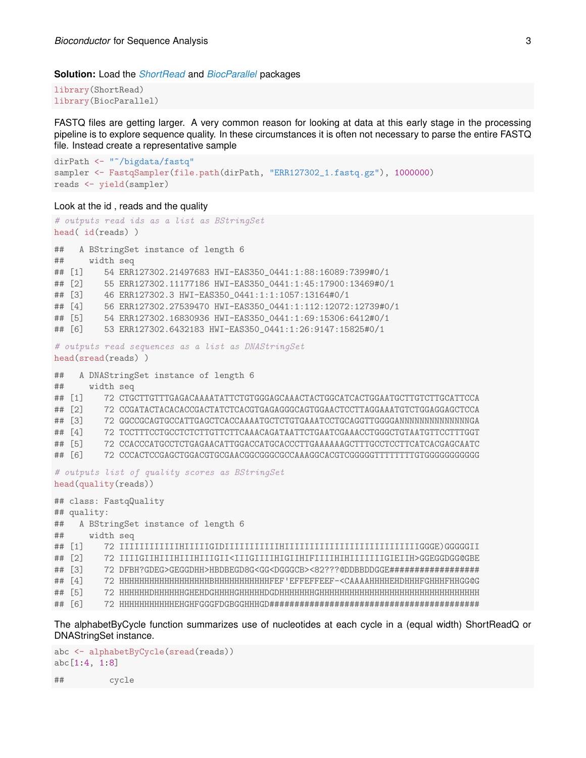#### **Solution:** Load the *[ShortRead](http://bioconductor.org/packages/release/bioc/html/ShortRead.html)* and *[BiocParallel](http://cran.fhcrc.org/web/packages/BiocParallel/index.html)* packages

library(ShortRead) library(BiocParallel)

FASTQ files are getting larger. A very common reason for looking at data at this early stage in the processing pipeline is to explore sequence quality. In these circumstances it is often not necessary to parse the entire FASTQ file. Instead create a representative sample

```
dirPath <- "~/bigdata/fastq"
sampler <- FastqSampler(file.path(dirPath, "ERR127302_1.fastq.gz"), 1000000)
reads <- yield(sampler)
```
#### Look at the id , reads and the quality

```
# outputs read ids as a list as BStringSet
head( id(reads) )
## A BStringSet instance of length 6
## width seq
## [1] 54 ERR127302.21497683 HWI-EAS350_0441:1:88:16089:7399#0/1
## [2] 55 ERR127302.11177186 HWI-EAS350_0441:1:45:17900:13469#0/1
## [3] 46 ERR127302.3 HWI-EAS350_0441:1:1:1057:13164#0/1
## [4] 56 ERR127302.27539470 HWI-EAS350_0441:1:112:12072:12739#0/1
## [5] 54 ERR127302.16830936 HWI-EAS350_0441:1:69:15306:6412#0/1
## [6] 53 ERR127302.6432183 HWI-EAS350_0441:1:26:9147:15825#0/1
# outputs read sequences as a list as DNAStringSet
head(sread(reads) )
## A DNAStringSet instance of length 6
## width seq
## [1] 72 CTGCTTGTTTGAGACAAAATATTCTGTGGGAGCAAACTACTGGCATCACTGGAATGCTTGTCTTGCATTCCA
## [2] 72 CCGATACTACACACCGACTATCTCACGTGAGAGGGCAGTGGAACTCCTTAGGAAATGTCTGGAGGAGCTCCA
## [3] 72 GGCCGCAGTGCCATTGAGCTCACCAAAATGCTCTGTGAAATCCTGCAGGTTGGGGANNNNNNNNNNNNNNGA
## [4] 72 TCCTTTCCTGCCTCTCTTGTTCTTCAAACAGATAATTCTGAATCGAAACCTGGGCTGTAATGTTCCTTTGGT
## [5] 72 CCACCCATGCCTCTGAGAACATTGGACCATGCACCCTTGAAAAAAGCTTTGCCTCCTTCATCACGAGCAATC
## [6] 72 CCCACTCCGAGCTGGACGTGCGAACGGCGGGCGCCAAAGGCACGTCGGGGGTTTTTTTTGTGGGGGGGGGGG
# outputs list of quality scores as BStringSet
head(quality(reads))
## class: FastqQuality
## quality:
## A BStringSet instance of length 6
## width seq
## [1] 72 IIIIIIIIIIIIHIIIIIGIDIIIIIIIIIIIHIIIIIIIIIIIIIIIIIIIIIIIIIIIGGGE)GGGGGII
## [2] 72 IIIIGIIHIIIHIIIHIIIGII<IIIGIIIIHIGIIHIFIIIIHIHIIIIIIIGIEIIH>GGEGGDGG@GBE
## [3] 72 DFBH?GDEG>GEGGDHH>HBDBEGD8G<GG<DGGGCB><82???@DDBBDDGGE##################
## [4] 72 HHHHHHHHHHHHHHHHHHBHHHHHHHHHHHFEF'EFFEFFEEF-<CAAAAHHHHEHDHHHFGHHHFHHGG@G
## [5] 72 HHHHHHDHHHHHHGHEHDGHHHHGHHHHHDGDHHHHHHHGHHHHHHHHHHHHHHHHHHHHHHHHHHHHHHHH
## [6] 72 HHHHHHHHHHHEHGHFGGGFDGBGGHHHGD##########################################
```
The alphabetByCycle function summarizes use of nucleotides at each cycle in a (equal width) ShortReadQ or DNAStringSet instance.

```
abc <- alphabetByCycle(sread(reads))
abc[1:4, 1:8]
## cycle
```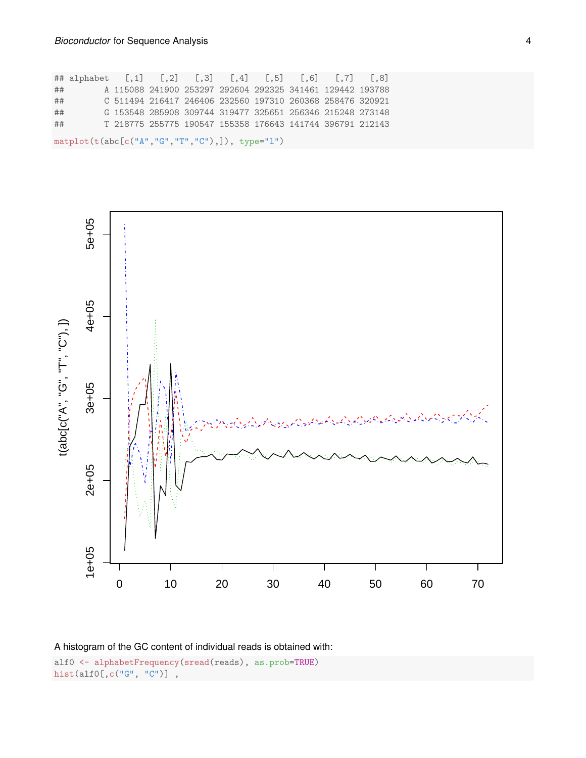## alphabet [,1] [,2] [,3] [,4] [,5] [,6] [,7] [,8] ## A 115088 241900 253297 292604 292325 341461 129442 193788 ## C 511494 216417 246406 232560 197310 260368 258476 320921 ## G 153548 285908 309744 319477 325651 256346 215248 273148 ## T 218775 255775 190547 155358 176643 141744 396791 212143 matplot(t(abc[c("A","G","T","C"),]), type="l")





alf0 <- alphabetFrequency(sread(reads), as.prob=TRUE) hist(alf0[,c("G", "C")] ,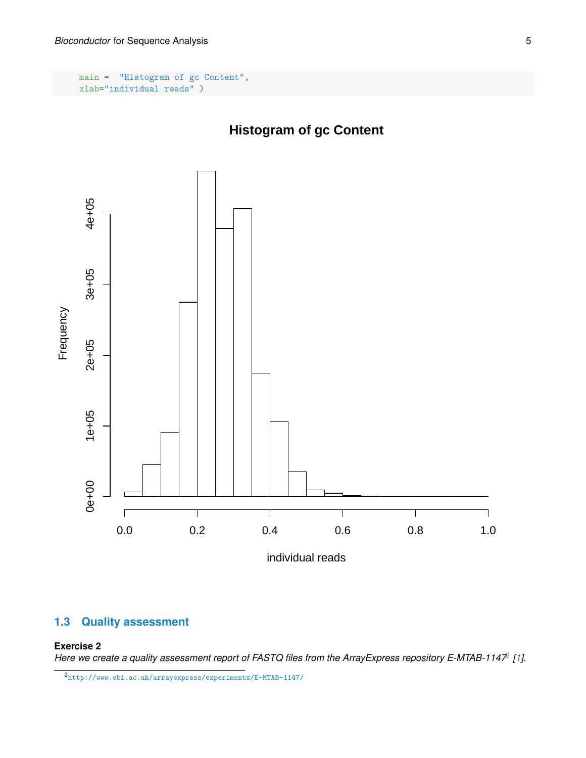main = "Histogram of gc Content", xlab="individual reads" )

## **Histogram of gc Content**



## <span id="page-4-0"></span>**1.3 Quality assessment**

### **Exercise 2**

*Here we create a quality assessment report of FASTQ files from the ArrayExpress repository E-MTAB-1147*[2](#page-4-1) *[\[1\]](#page-13-0).*

<span id="page-4-1"></span><sup>2</sup><http://www.ebi.ac.uk/arrayexpress/experiments/E-MTAB-1147/>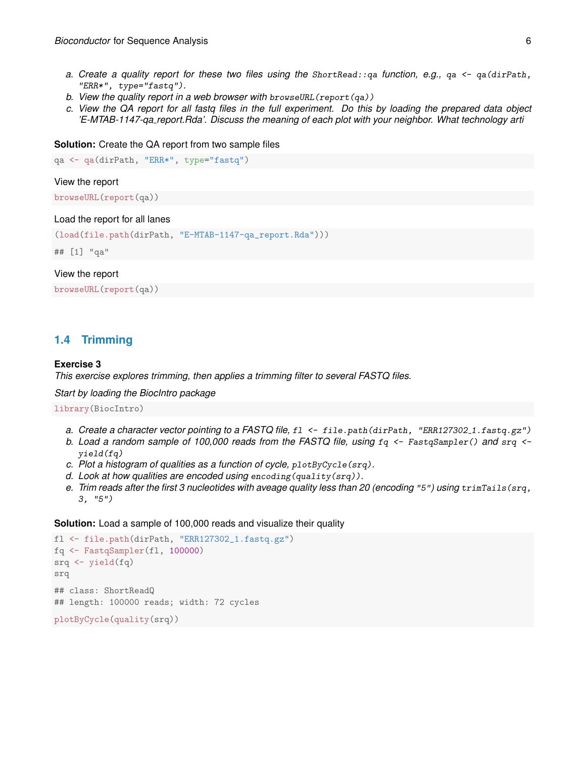- *a. Create a quality report for these two files using the* ShortRead::qa *function, e.g.,* qa <- qa(dirPath, "ERR\*", type="fastq")*.*
- *b. View the quality report in a web browser with* browseURL(report(qa))
- *c. View the QA report for all fastq files in the full experiment. Do this by loading the prepared data object 'E-MTAB-1147-qa report.Rda'. Discuss the meaning of each plot with your neighbor. What technology arti*

#### **Solution:** Create the QA report from two sample files

```
qa <- qa(dirPath, "ERR*", type="fastq")
```
#### View the report

browseURL(report(qa))

#### Load the report for all lanes

```
(load(file.path(dirPath, "E-MTAB-1147-qa_report.Rda")))
```
## [1] "qa"

### View the report

browseURL(report(qa))

### <span id="page-5-0"></span>**1.4 Trimming**

#### **Exercise 3**

*This exercise explores trimming, then applies a trimming filter to several FASTQ files.*

*Start by loading the BiocIntro package*

library(BiocIntro)

- *a. Create a character vector pointing to a FASTQ file,* fl <- file.path(dirPath, "ERR127302 1.fastq.gz")
- *b. Load a random sample of 100,000 reads from the FASTQ file, using* fq <- FastqSampler() *and* srq < yield(fq)
- *c. Plot a histogram of qualities as a function of cycle,* plotByCycle(srq)*.*
- *d. Look at how qualities are encoded using* encoding(quality(srq))*.*
- *e. Trim reads after the first 3 nucleotides with aveage quality less than 20 (encoding* "5"*) using* trimTails(srq, 3, "5")

#### **Solution:** Load a sample of 100,000 reads and visualize their quality

```
fl <- file.path(dirPath, "ERR127302_1.fastq.gz")
fq <- FastqSampler(fl, 100000)
srq \leftarrow yield(fq)srq
## class: ShortReadQ
## length: 100000 reads; width: 72 cycles
plotByCycle(quality(srq))
```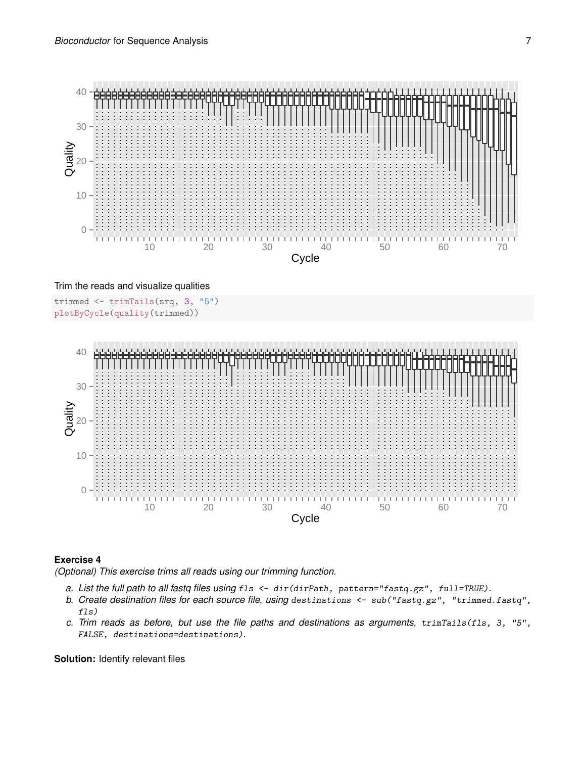

#### Trim the reads and visualize qualities

```
trimmed <- trimTails(srq, 3, "5")
plotByCycle(quality(trimmed))
```


#### **Exercise 4**

*(Optional) This exercise trims all reads using our trimming function.*

- *a. List the full path to all fastq files using* fls <- dir(dirPath, pattern="fastq.gz", full=TRUE)*.*
- *b. Create destination files for each source file, using* destinations <- sub("fastq.gz", "trimmed.fastq", fls)
- *c. Trim reads as before, but use the file paths and destinations as arguments,* trimTails(fls, 3, "5", FALSE, destinations=destinations)*.*

**Solution:** Identify relevant files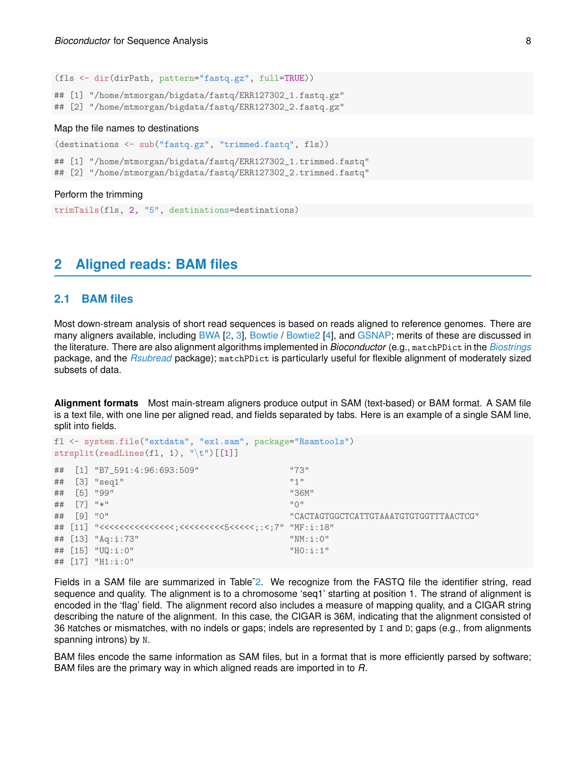(fls <- dir(dirPath, pattern="fastq.gz", full=TRUE))

## [1] "/home/mtmorgan/bigdata/fastq/ERR127302\_1.fastq.gz" ## [2] "/home/mtmorgan/bigdata/fastq/ERR127302\_2.fastq.gz"

#### Map the file names to destinations

(destinations <- sub("fastq.gz", "trimmed.fastq", fls))

## [1] "/home/mtmorgan/bigdata/fastq/ERR127302\_1.trimmed.fastq"

## [2] "/home/mtmorgan/bigdata/fastq/ERR127302\_2.trimmed.fastq"

#### Perform the trimming

trimTails(fls, 2, "5", destinations=destinations)

## <span id="page-7-0"></span>**2 Aligned reads: BAM files**

### <span id="page-7-1"></span>**2.1 BAM files**

Most down-stream analysis of short read sequences is based on reads aligned to reference genomes. There are many aligners available, including [BWA](http://bio-bwa.sourceforge.net/) [\[2,](#page-13-1) [3\]](#page-13-2), [Bowtie](http://bowtie-bio.sourceforge.net/) / [Bowtie2](http://bowtie-bio.sourceforge.net/bowtie2/) [\[4\]](#page-14-0), and [GSNAP;](http://research-pub.gene.com/gmap/) merits of these are discussed in the literature. There are also alignment algorithms implemented in *Bioconductor* (e.g., matchPDict in the *[Biostrings](http://bioconductor.org/packages/release/bioc/html/Biostrings.html)* package, and the *[Rsubread](http://bioconductor.org/packages/release/bioc/html/Rsubread.html)* package); matchPDict is particularly useful for flexible alignment of moderately sized subsets of data.

**Alignment formats** Most main-stream aligners produce output in SAM (text-based) or BAM format. A SAM file is a text file, with one line per aligned read, and fields separated by tabs. Here is an example of a single SAM line, split into fields.

```
fl <- system.file("extdata", "ex1.sam", package="Rsamtools")
strsplit(readLines(f1, 1), "\t")[[1]]## [1] "B7_591:4:96:693:509" "73"
## [3] "seq1" "1"
## [5] "99" "36M"
## [7] "*" "0"
## [9] "0" "CACTAGTGGCTCATTGTAAATGTGTGGTTTAACTCG"
## [11] "<<<<<<<<<<<<<<<;<<<<<<<<<5<<<<<;:<;7" "MF:i:18"
## [13] "Aq:i:73" "NM:i:0"
## [15] "UQ:i:0" "H0:i:1"
## [17] "H1:i:0"
```
Fields in a SAM file are summarized in Table<sup>-2</sup>. We recognize from the FASTQ file the identifier string, read sequence and quality. The alignment is to a chromosome 'seq1' starting at position 1. The strand of alignment is encoded in the 'flag' field. The alignment record also includes a measure of mapping quality, and a CIGAR string describing the nature of the alignment. In this case, the CIGAR is 36M, indicating that the alignment consisted of 36 Matches or mismatches, with no indels or gaps; indels are represented by I and D; gaps (e.g., from alignments spanning introns) by N.

BAM files encode the same information as SAM files, but in a format that is more efficiently parsed by software; BAM files are the primary way in which aligned reads are imported in to *R*.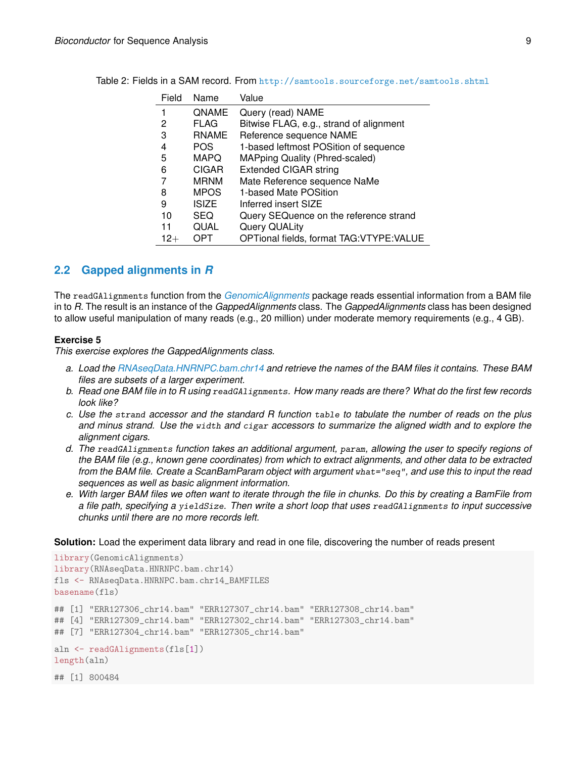<span id="page-8-1"></span>

| Field | Name         | Value                                     |
|-------|--------------|-------------------------------------------|
|       | QNAME        | Query (read) NAME                         |
| 2     | <b>FLAG</b>  | Bitwise FLAG, e.g., strand of alignment   |
| З     | <b>RNAME</b> | Reference sequence NAME                   |
| 4     | <b>POS</b>   | 1-based leftmost POSition of sequence     |
| 5     | <b>MAPQ</b>  | <b>MAPping Quality (Phred-scaled)</b>     |
| 6     | <b>CIGAR</b> | <b>Extended CIGAR string</b>              |
|       | <b>MRNM</b>  | Mate Reference sequence NaMe              |
| 8     | <b>MPOS</b>  | 1-based Mate POSition                     |
| 9     | <b>ISIZE</b> | Inferred insert SIZE                      |
| 10    | <b>SEQ</b>   | Query SEQuence on the reference strand    |
| 11    | QUAL         | Query QUALity                             |
| 12+   | OPT          | OPTional fields, format TAG: VTYPE: VALUE |

Table 2: Fields in a SAM record. From <http://samtools.sourceforge.net/samtools.shtml>

### <span id="page-8-0"></span>**2.2 Gapped alignments in** *R*

The readGAlignments function from the *[GenomicAlignments](http://bioconductor.org/packages/release/bioc/html/GenomicAlignments.html)* package reads essential information from a BAM file in to *R*. The result is an instance of the *GappedAlignments* class. The *GappedAlignments* class has been designed to allow useful manipulation of many reads (e.g., 20 million) under moderate memory requirements (e.g., 4 GB).

#### **Exercise 5**

*This exercise explores the GappedAlignments class.*

- *a. Load the [RNAseqData.HNRNPC.bam.chr14](http://bioconductor.org/packages/release/data/experiment/html/RNAseqData.HNRNPC.bam.chr14.html) and retrieve the names of the BAM files it contains. These BAM files are subsets of a larger experiment.*
- *b. Read one BAM file in to R using* readGAlignments*. How many reads are there? What do the first few records look like?*
- *c. Use the* strand *accessor and the standard R function* table *to tabulate the number of reads on the plus and minus strand. Use the* width *and* cigar *accessors to summarize the aligned width and to explore the alignment cigars.*
- *d. The* readGAlignments *function takes an additional argument,* param*, allowing the user to specify regions of the BAM file (e.g., known gene coordinates) from which to extract alignments, and other data to be extracted from the BAM file. Create a ScanBamParam object with argument* what="seq"*, and use this to input the read sequences as well as basic alignment information.*
- *e. With larger BAM files we often want to iterate through the file in chunks. Do this by creating a BamFile from a file path, specifying a* yieldSize*. Then write a short loop that uses* readGAlignments *to input successive chunks until there are no more records left.*

**Solution:** Load the experiment data library and read in one file, discovering the number of reads present

```
library(GenomicAlignments)
library(RNAseqData.HNRNPC.bam.chr14)
fls <- RNAseqData.HNRNPC.bam.chr14_BAMFILES
basename(fls)
## [1] "ERR127306_chr14.bam" "ERR127307_chr14.bam" "ERR127308_chr14.bam"
## [4] "ERR127309_chr14.bam" "ERR127302_chr14.bam" "ERR127303_chr14.bam"
## [7] "ERR127304_chr14.bam" "ERR127305_chr14.bam"
aln <- readGAlignments(fls[1])
length(aln)
## [1] 800484
```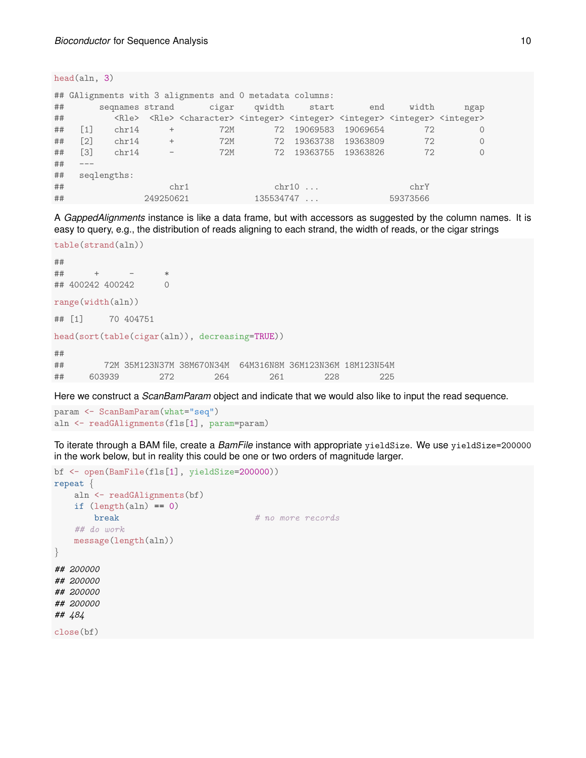head(aln, 3)

|                     |                   |                 |            | ## GAlignments with 3 alignments and 0 metadata columns:                                                                                                                |    |              |                   |       |         |
|---------------------|-------------------|-----------------|------------|-------------------------------------------------------------------------------------------------------------------------------------------------------------------------|----|--------------|-------------------|-------|---------|
|                     |                   |                 |            |                                                                                                                                                                         |    |              |                   |       |         |
| ##                  |                   | segnames strand |            | cigar                                                                                                                                                                   |    | qwidth start | end               | width | ngap    |
| ##                  |                   |                 |            | <rle> <rle> <character> <integer> <integer> <integer> <integer> <integer> <integer></integer></integer></integer></integer></integer></integer></character></rle></rle> |    |              |                   |       |         |
| ##                  | $\lceil 1 \rceil$ | chr14           | $^{+}$     | 72M                                                                                                                                                                     | 72 | 19069583     | 19069654          | 72    | 0       |
| ##                  | $\lceil 2 \rceil$ | chr14           | $^{+}$     | 72M                                                                                                                                                                     | 72 | 19363738     | 19363809          | 72    | 0       |
| ##                  | $\lceil 3 \rceil$ | chr14           | $\sim$ $-$ | 72M                                                                                                                                                                     | 72 |              | 19363755 19363826 | 72    | $\circ$ |
| ##                  |                   |                 |            |                                                                                                                                                                         |    |              |                   |       |         |
| ##                  |                   | seqlengths:     |            |                                                                                                                                                                         |    |              |                   |       |         |
| ##<br>chr10<br>chr1 |                   |                 |            |                                                                                                                                                                         |    |              | chrY              |       |         |
| ##                  | 249250621         |                 |            |                                                                                                                                                                         |    | 135534747    |                   |       |         |

A *GappedAlignments* instance is like a data frame, but with accessors as suggested by the column names. It is easy to query, e.g., the distribution of reads aligning to each strand, the width of reads, or the cigar strings

```
table(strand(aln))
##
## + - *
## 400242 400242 0
range(width(aln))
## [1] 70 404751
head(sort(table(cigar(aln)), decreasing=TRUE))
##
## 72M 35M123N37M 38M670N34M 64M316N8M 36M123N36M 18M123N54M
## 603939 272 264 261 228 225
```
Here we construct a *ScanBamParam* object and indicate that we would also like to input the read sequence.

```
param <- ScanBamParam(what="seq")
aln <- readGAlignments(fls[1], param=param)
```
To iterate through a BAM file, create a *BamFile* instance with appropriate yieldSize. We use yieldSize=200000 in the work below, but in reality this could be one or two orders of magnitude larger.

```
bf <- open(BamFile(fls[1], yieldSize=200000))
repeat {
   aln <- readGAlignments(bf)
   if (lenath(aln) == 0)break # no more records## do work
   message(length(aln))
}
## 200000
## 200000
## 200000
## 200000
## 484
close(bf)
```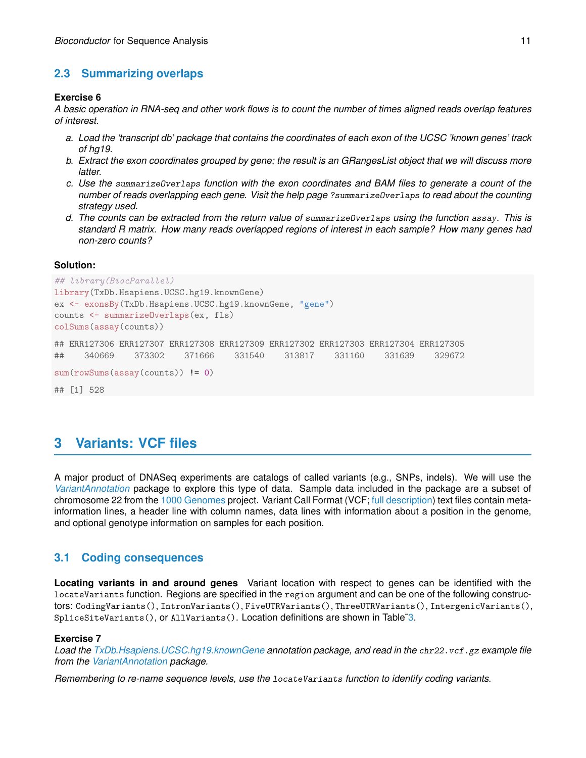## **2.3 Summarizing overlaps**

### **Exercise 6**

*A basic operation in RNA-seq and other work flows is to count the number of times aligned reads overlap features of interest.*

- *a. Load the 'transcript db' package that contains the coordinates of each exon of the UCSC 'known genes' track of hg19.*
- *b. Extract the exon coordinates grouped by gene; the result is an GRangesList object that we will discuss more latter.*
- *c. Use the* summarizeOverlaps *function with the exon coordinates and BAM files to generate a count of the number of reads overlapping each gene. Visit the help page* ?summarizeOverlaps *to read about the counting strategy used.*
- *d. The counts can be extracted from the return value of* summarizeOverlaps *using the function* assay*. This is standard R matrix. How many reads overlapped regions of interest in each sample? How many genes had non-zero counts?*

### **Solution:**

```
## library(BiocParallel)
library(TxDb.Hsapiens.UCSC.hg19.knownGene)
ex <- exonsBy(TxDb.Hsapiens.UCSC.hg19.knownGene, "gene")
counts <- summarizeOverlaps(ex, fls)
colSums(assay(counts))
## ERR127306 ERR127307 ERR127308 ERR127309 ERR127302 ERR127303 ERR127304 ERR127305
## 340669 373302 371666 331540 313817 331160 331639 329672
sum(rowSums(assay(counts)) != 0)
## [1] 528
```
## <span id="page-10-0"></span>**3 Variants: VCF files**

A major product of DNASeq experiments are catalogs of called variants (e.g., SNPs, indels). We will use the *[VariantAnnotation](http://bioconductor.org/packages/release/bioc/html/VariantAnnotation.html)* package to explore this type of data. Sample data included in the package are a subset of chromosome 22 from the [1000 Genomes](ftp://ftp-trace.ncbi.nih.gov/1000genomes/ftp/release/20110521/) project. Variant Call Format (VCF; [full description\)](http://www.1000genomes.org/wiki/Analysis/Variant%20Call%20Format/vcf-variant-call-format-version-41) text files contain metainformation lines, a header line with column names, data lines with information about a position in the genome, and optional genotype information on samples for each position.

### <span id="page-10-1"></span>**3.1 Coding consequences**

**Locating variants in and around genes** Variant location with respect to genes can be identified with the locateVariants function. Regions are specified in the region argument and can be one of the following constructors: CodingVariants(), IntronVariants(), FiveUTRVariants(), ThreeUTRVariants(), IntergenicVariants(), SpliceSiteVariants(), or AllVariants(). Location definitions are shown in Table[˜3.](#page-11-0)

### **Exercise 7**

*Load the [TxDb.Hsapiens.UCSC.hg19.knownGene](http://bioconductor.org/packages/release/data/annotation/html/TxDb.Hsapiens.UCSC.hg19.knownGene.html) annotation package, and read in the* chr22.vcf.gz *example file from the [VariantAnnotation](http://bioconductor.org/packages/release/bioc/html/VariantAnnotation.html) package.*

*Remembering to re-name sequence levels, use the* locateVariants *function to identify coding variants.*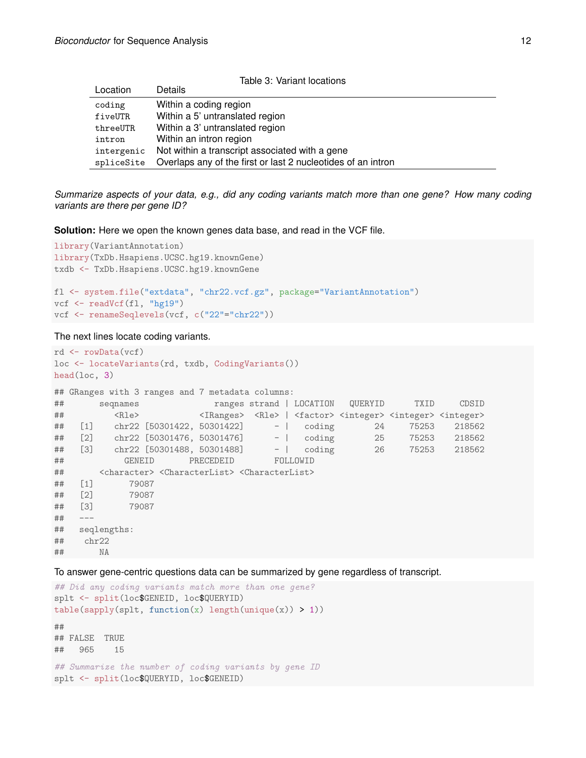<span id="page-11-0"></span>

| Table 3: Variant locations |                                                              |  |  |  |  |  |
|----------------------------|--------------------------------------------------------------|--|--|--|--|--|
| Location                   | <b>Details</b>                                               |  |  |  |  |  |
| coding                     | Within a coding region                                       |  |  |  |  |  |
| fiveUTR                    | Within a 5' untranslated region                              |  |  |  |  |  |
| threeUTR                   | Within a 3' untranslated region                              |  |  |  |  |  |
| intron                     | Within an intron region                                      |  |  |  |  |  |
| intergenic                 | Not within a transcript associated with a gene               |  |  |  |  |  |
| spliceSite                 | Overlaps any of the first or last 2 nucleotides of an intron |  |  |  |  |  |

*Summarize aspects of your data, e.g., did any coding variants match more than one gene? How many coding variants are there per gene ID?*

**Solution:** Here we open the known genes data base, and read in the VCF file.

```
library(VariantAnnotation)
library(TxDb.Hsapiens.UCSC.hg19.knownGene)
txdb <- TxDb.Hsapiens.UCSC.hg19.knownGene
fl <- system.file("extdata", "chr22.vcf.gz", package="VariantAnnotation")
vcf <- readVcf(fl, "hg19")
vcf <- renameSeqlevels(vcf, c("22"="chr22"))
```
The next lines locate coding variants.

```
rd <- rowData(vcf)
loc <- locateVariants(rd, txdb, CodingVariants())
head(loc, 3)
## GRanges with 3 ranges and 7 metadata columns:
## seqnames ranges strand | LOCATION QUERYID TXID CDSID
## <Rle> <IRanges> <Rle> | <factor> <integer> <integer> <integer>
## [1] chr22 [50301422, 50301422] - | coding 24 75253 218562
## [2] chr22 [50301476, 50301476] - | coding 25 75253 218562
## [3] chr22 [50301488, 50301488] - | coding 26 75253 218562
## GENEID PRECEDEID FOLLOWID
## <character> <CharacterList> <CharacterList>
## [1] 79087
## [2] 79087
## [3] 79087
## ---
## seqlengths:
## chr22
## NA
```
To answer gene-centric questions data can be summarized by gene regardless of transcript.

```
## Did any coding variants match more than one gene?
splt <- split(loc$GENEID, loc$QUERYID)
table(sapply(splt, function(x) length(unique(x)) > 1))##
## FALSE TRUE
## 965 15
## Summarize the number of coding variants by gene ID
splt <- split(loc$QUERYID, loc$GENEID)
```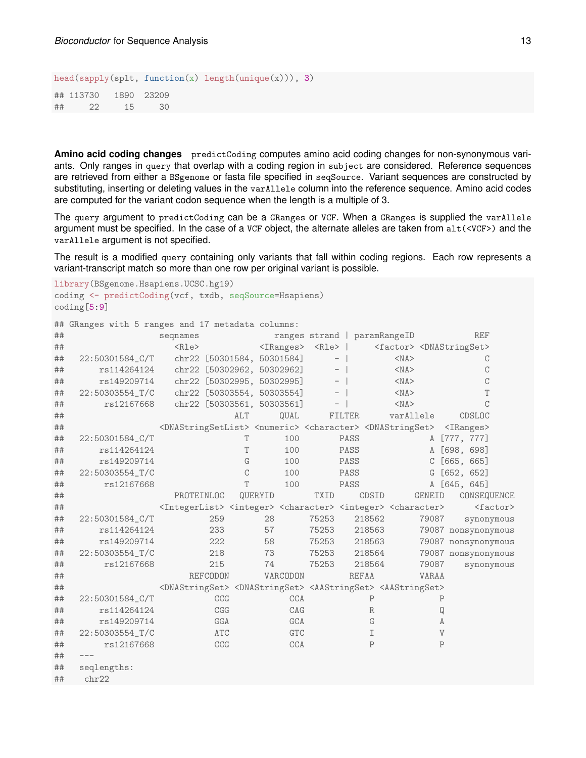head(sapply(splt, function(x) length(unique(x))), 3)

## 113730 1890 23209 ## 22 15 30

**Amino acid coding changes** predictCoding computes amino acid coding changes for non-synonymous variants. Only ranges in query that overlap with a coding region in subject are considered. Reference sequences are retrieved from either a BSgenome or fasta file specified in seqSource. Variant sequences are constructed by substituting, inserting or deleting values in the varAllele column into the reference sequence. Amino acid codes are computed for the variant codon sequence when the length is a multiple of 3.

The query argument to predictCoding can be a GRanges or VCF. When a GRanges is supplied the varAllele argument must be specified. In the case of a VCF object, the alternate alleles are taken from alt(<VCF>) and the varAllele argument is not specified.

The result is a modified query containing only variants that fall within coding regions. Each row represents a variant-transcript match so more than one row per original variant is possible.

```
library(BSgenome.Hsapiens.UCSC.hg19)
coding <- predictCoding(vcf, txdb, seqSource=Hsapiens)
coding[5:9]
```
## GRanges with 5 ranges and 17 metadata columns:

| ## |                 | seqnames                                                                                                            |                            |               |         |                                   | ranges strand   paramRangeID |        |              |                                                 |              |              | <b>REF</b>          |             |
|----|-----------------|---------------------------------------------------------------------------------------------------------------------|----------------------------|---------------|---------|-----------------------------------|------------------------------|--------|--------------|-------------------------------------------------|--------------|--------------|---------------------|-------------|
| ## |                 | $<$ Rle $>$                                                                                                         |                            |               |         | <iranges> <rle>  </rle></iranges> |                              |        |              | <factor> <dnastringset></dnastringset></factor> |              |              |                     |             |
| ## | 22:50301584_C/T |                                                                                                                     | chr22 [50301584, 50301584] |               |         |                                   | $\overline{\phantom{m}}$     |        | $<$ NA $>$   |                                                 |              |              | С                   |             |
| ## | rs114264124     |                                                                                                                     | chr22 [50302962, 50302962] |               |         |                                   |                              |        | $<$ NA $>$   |                                                 |              |              | С                   |             |
| ## | rs149209714     | chr22 [50302995, 50302995]                                                                                          |                            |               |         |                                   | $\overline{\phantom{a}}$     |        |              | $<$ NA $>$                                      |              |              | C                   |             |
| ## | 22:50303554_T/C | chr22 [50303554, 50303554]                                                                                          |                            |               |         |                                   |                              |        |              | $<$ NA $>$                                      |              |              | T                   |             |
| ## | rs12167668      | chr22 [50303561, 50303561]                                                                                          |                            |               |         |                                   |                              |        | $<$ NA $>$   |                                                 |              |              | $\mathcal{C}$       |             |
| ## |                 |                                                                                                                     |                            | ALT           |         | QUAL                              |                              | FILTER | varAllele    |                                                 |              |              | CDSLOC              |             |
| ## |                 | <dnastringsetlist> <numeric> <character> <dnastringset></dnastringset></character></numeric></dnastringsetlist>     |                            |               |         |                                   |                              |        |              |                                                 |              |              | $\langle$ IRanges>  |             |
| ## | 22:50301584_C/T |                                                                                                                     |                            | T             |         | 100                               |                              | PASS   |              |                                                 |              |              | A [777, 777]        |             |
| ## | rs114264124     |                                                                                                                     |                            | T             |         | 100                               |                              | PASS   |              |                                                 |              |              | A [698, 698]        |             |
| ## | rs149209714     |                                                                                                                     |                            | G             |         | 100                               |                              | PASS   |              |                                                 |              |              | $C$ [665, 665]      |             |
| ## | 22:50303554_T/C |                                                                                                                     |                            | $\mathcal{C}$ |         | 100                               |                              | PASS   |              |                                                 |              |              | G [652, 652]        |             |
| ## | rs12167668      |                                                                                                                     |                            | T             |         | 100                               |                              | PASS   |              |                                                 |              |              | A [645, 645]        |             |
| ## |                 | PROTEINLOC                                                                                                          |                            |               | QUERYID |                                   | <b>TXID</b>                  |        | CDSID        |                                                 | GENEID       |              | CONSEQUENCE         |             |
| ## |                 | <integerlist> <integer> <character> <integer> <character></character></integer></character></integer></integerlist> |                            |               |         |                                   |                              |        |              |                                                 |              |              |                     | $<$ factor> |
| ## | 22:50301584_C/T |                                                                                                                     | 259                        |               | 28      |                                   | 75253                        |        | 218562       |                                                 | 79087        |              | synonymous          |             |
| ## | rs114264124     |                                                                                                                     | 233                        |               | 57      |                                   | 75253                        |        | 218563       |                                                 |              |              | 79087 nonsynonymous |             |
| ## | rs149209714     |                                                                                                                     | 222                        |               | 58      |                                   | 75253                        |        | 218563       |                                                 |              |              | 79087 nonsynonymous |             |
| ## | 22:50303554_T/C |                                                                                                                     | 218                        |               | 73      |                                   | 75253                        |        | 218564       |                                                 |              |              | 79087 nonsynonymous |             |
| ## | rs12167668      |                                                                                                                     | 215                        |               | 74      |                                   | 75253                        |        | 218564       |                                                 | 79087        |              | synonymous          |             |
| ## |                 |                                                                                                                     | <b>REFCODON</b>            |               |         | VARCODON                          |                              |        | <b>REFAA</b> |                                                 | <b>VARAA</b> |              |                     |             |
| ## |                 | <dnastringset> <dnastringset> <aastringset> <aastringset></aastringset></aastringset></dnastringset></dnastringset> |                            |               |         |                                   |                              |        |              |                                                 |              |              |                     |             |
| ## | 22:50301584_C/T |                                                                                                                     | CCG                        |               |         | <b>CCA</b>                        |                              |        | $\mathbf{P}$ |                                                 |              | $\mathbf{P}$ |                     |             |
| ## | rs114264124     |                                                                                                                     | CGG                        |               |         | CAG                               |                              |        | R            |                                                 |              | Q            |                     |             |
| ## | rs149209714     |                                                                                                                     | GGA                        |               |         | GCA                               |                              |        | G            |                                                 |              | Α            |                     |             |
| ## | 22:50303554_T/C |                                                                                                                     | ATC                        |               |         | <b>GTC</b>                        |                              |        | I            |                                                 |              | $\mathbf{V}$ |                     |             |
| ## | rs12167668      |                                                                                                                     | CCG                        |               |         | CCA                               |                              |        | $\mathbf{P}$ |                                                 |              | $\mathbf{P}$ |                     |             |
| ## |                 |                                                                                                                     |                            |               |         |                                   |                              |        |              |                                                 |              |              |                     |             |
| ## | seqlengths:     |                                                                                                                     |                            |               |         |                                   |                              |        |              |                                                 |              |              |                     |             |
| ## | chr22           |                                                                                                                     |                            |               |         |                                   |                              |        |              |                                                 |              |              |                     |             |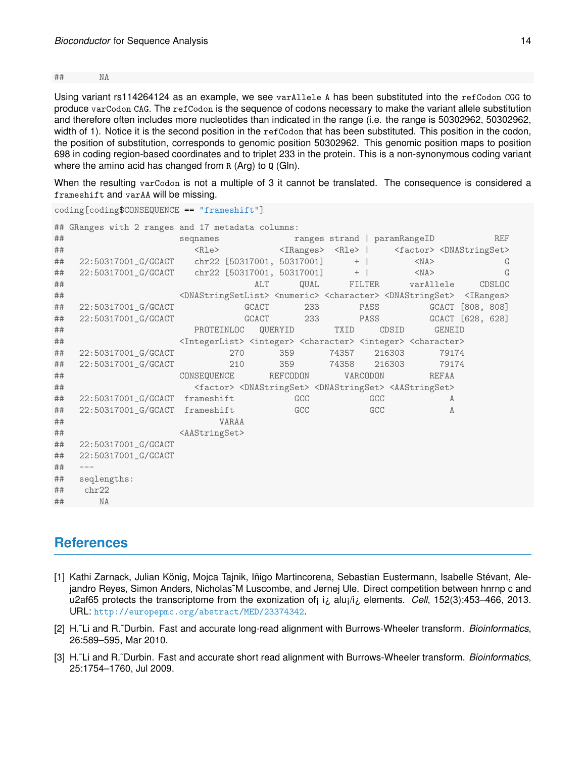## NA

Using variant rs114264124 as an example, we see varAllele A has been substituted into the refCodon CGG to produce varCodon CAG. The refCodon is the sequence of codons necessary to make the variant allele substitution and therefore often includes more nucleotides than indicated in the range (i.e. the range is 50302962, 50302962, width of 1). Notice it is the second position in the refCodon that has been substituted. This position in the codon, the position of substitution, corresponds to genomic position 50302962. This genomic position maps to position 698 in coding region-based coordinates and to triplet 233 in the protein. This is a non-synonymous coding variant where the amino acid has changed from R (Arg) to Q (Gln).

When the resulting varCodon is not a multiple of 3 it cannot be translated. The consequence is considered a frameshift and varAA will be missing.

coding[coding\$CONSEQUENCE == "frameshift"]

|    | ## GRanges with 2 ranges and 17 metadata columns: |                                                                                                                                     |          |                              |                                                                                                           |                  |
|----|---------------------------------------------------|-------------------------------------------------------------------------------------------------------------------------------------|----------|------------------------------|-----------------------------------------------------------------------------------------------------------|------------------|
| ## |                                                   | segnames                                                                                                                            |          | ranges strand   paramRangeID |                                                                                                           | <b>REF</b>       |
| ## |                                                   | $<$ Rle $>$                                                                                                                         |          |                              | <iranges> <rle>   <factor> <dnastringset></dnastringset></factor></rle></iranges>                         |                  |
| ## | 22:50317001_G/GCACT chr22 [50317001, 50317001]    |                                                                                                                                     |          | $+$                          | $<$ NA $>$                                                                                                | G                |
| ## | 22:50317001_G/GCACT chr22 [50317001, 50317001]    |                                                                                                                                     |          | $+$                          | $<$ NA $>$                                                                                                | G                |
| ## |                                                   | ALT                                                                                                                                 | QUAL     | FILTER                       | varAllele                                                                                                 | CDSLOC           |
| ## |                                                   | <dnastringsetlist> <numeric> <character> <dnastringset> <iranges></iranges></dnastringset></character></numeric></dnastringsetlist> |          |                              |                                                                                                           |                  |
| ## | 22:50317001_G/GCACT                               | <b>GCACT</b>                                                                                                                        | 233      | PASS                         |                                                                                                           | GCACT [808, 808] |
| ## | 22:50317001_G/GCACT                               | <b>GCACT</b>                                                                                                                        | 233      | PASS                         |                                                                                                           | GCACT [628, 628] |
| ## |                                                   | PROTEINLOC                                                                                                                          | QUERYID  | TXID                         | CDSID<br><b>GENEID</b>                                                                                    |                  |
| ## |                                                   | <integerlist> <integer> <character> <integer> <character></character></integer></character></integer></integerlist>                 |          |                              |                                                                                                           |                  |
| ## | 22:50317001_G/GCACT                               | 270                                                                                                                                 | 359      | 74357                        | 216303<br>79174                                                                                           |                  |
| ## | 22:50317001_G/GCACT                               | 210                                                                                                                                 | 359      | 74358                        | 216303<br>79174                                                                                           |                  |
| ## |                                                   | CONSEQUENCE                                                                                                                         | REFCODON | VARCODON                     | <b>REFAA</b>                                                                                              |                  |
| ## |                                                   |                                                                                                                                     |          |                              | <factor> <dnastringset> <dnastringset> <aastringset></aastringset></dnastringset></dnastringset></factor> |                  |
| ## | 22:50317001_G/GCACT frameshift                    |                                                                                                                                     | GCC      | GCC                          | A                                                                                                         |                  |
| ## | 22:50317001_G/GCACT frameshift                    |                                                                                                                                     | GCC      | GCC                          | A                                                                                                         |                  |
| ## |                                                   | VARAA                                                                                                                               |          |                              |                                                                                                           |                  |
| ## |                                                   | <aastringset></aastringset>                                                                                                         |          |                              |                                                                                                           |                  |
| ## | 22:50317001_G/GCACT                               |                                                                                                                                     |          |                              |                                                                                                           |                  |
| ## | 22:50317001_G/GCACT                               |                                                                                                                                     |          |                              |                                                                                                           |                  |
| ## | $\qquad \qquad - -$                               |                                                                                                                                     |          |                              |                                                                                                           |                  |
| ## | seqlengths:                                       |                                                                                                                                     |          |                              |                                                                                                           |                  |
| ## | chr22                                             |                                                                                                                                     |          |                              |                                                                                                           |                  |
| ## | <b>NA</b>                                         |                                                                                                                                     |          |                              |                                                                                                           |                  |

## **References**

- <span id="page-13-0"></span>[1] Kathi Zarnack, Julian König, Mojca Tajnik, Iñigo Martincorena, Sebastian Eustermann, Isabelle Stévant, Alejandro Reyes, Simon Anders, Nicholas˜M Luscombe, and Jernej Ule. Direct competition between hnrnp c and u2af65 protects the transcriptome from the exonization of¡ i¿ alu¡/i¿ elements. *Cell*, 152(3):453–466, 2013. URL: <http://europepmc.org/abstract/MED/23374342>.
- <span id="page-13-1"></span>[2] H.˜Li and R.˜Durbin. Fast and accurate long-read alignment with Burrows-Wheeler transform. *Bioinformatics*, 26:589–595, Mar 2010.
- <span id="page-13-2"></span>[3] H.˜Li and R.˜Durbin. Fast and accurate short read alignment with Burrows-Wheeler transform. *Bioinformatics*, 25:1754–1760, Jul 2009.